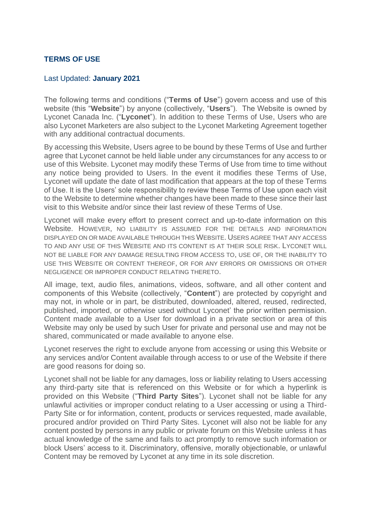## **TERMS OF USE**

## Last Updated: **January 2021**

The following terms and conditions ("**Terms of Use**") govern access and use of this website (this "**Website**") by anyone (collectively, "**Users**"). The Website is owned by Lyconet Canada Inc. ("**Lyconet**"). In addition to these Terms of Use, Users who are also Lyconet Marketers are also subject to the Lyconet Marketing Agreement together with any additional contractual documents.

By accessing this Website, Users agree to be bound by these Terms of Use and further agree that Lyconet cannot be held liable under any circumstances for any access to or use of this Website. Lyconet may modify these Terms of Use from time to time without any notice being provided to Users. In the event it modifies these Terms of Use, Lyconet will update the date of last modification that appears at the top of these Terms of Use. It is the Users' sole responsibility to review these Terms of Use upon each visit to the Website to determine whether changes have been made to these since their last visit to this Website and/or since their last review of these Terms of Use.

Lyconet will make every effort to present correct and up-to-date information on this Website. HOWEVER, NO LIABILITY IS ASSUMED FOR THE DETAILS AND INFORMATION DISPLAYED ON OR MADE AVAILABLE THROUGH THIS WEBSITE. USERS AGREE THAT ANY ACCESS TO AND ANY USE OF THIS WEBSITE AND ITS CONTENT IS AT THEIR SOLE RISK. LYCONET WILL NOT BE LIABLE FOR ANY DAMAGE RESULTING FROM ACCESS TO, USE OF, OR THE INABILITY TO USE THIS WEBSITE OR CONTENT THEREOF, OR FOR ANY ERRORS OR OMISSIONS OR OTHER NEGLIGENCE OR IMPROPER CONDUCT RELATING THERETO.

All image, text, audio files, animations, videos, software, and all other content and components of this Website (collectively, "**Content**") are protected by copyright and may not, in whole or in part, be distributed, downloaded, altered, reused, redirected, published, imported, or otherwise used without Lyconet' the prior written permission. Content made available to a User for download in a private section or area of this Website may only be used by such User for private and personal use and may not be shared, communicated or made available to anyone else.

Lyconet reserves the right to exclude anyone from accessing or using this Website or any services and/or Content available through access to or use of the Website if there are good reasons for doing so.

Lyconet shall not be liable for any damages, loss or liability relating to Users accessing any third-party site that is referenced on this Website or for which a hyperlink is provided on this Website ("**Third Party Sites**"). Lyconet shall not be liable for any unlawful activities or improper conduct relating to a User accessing or using a Third-Party Site or for information, content, products or services requested, made available, procured and/or provided on Third Party Sites. Lyconet will also not be liable for any content posted by persons in any public or private forum on this Website unless it has actual knowledge of the same and fails to act promptly to remove such information or block Users' access to it. Discriminatory, offensive, morally objectionable, or unlawful Content may be removed by Lyconet at any time in its sole discretion.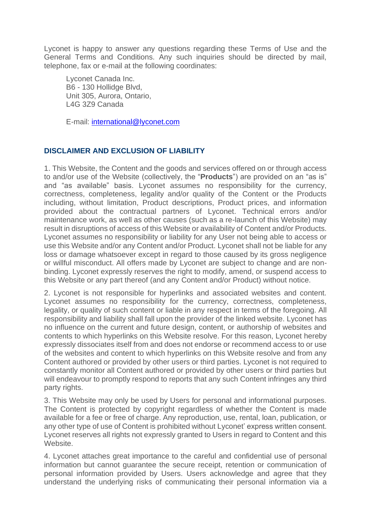Lyconet is happy to answer any questions regarding these Terms of Use and the General Terms and Conditions. Any such inquiries should be directed by mail, telephone, fax or e-mail at the following coordinates:

Lyconet Canada Inc. B6 - 130 Hollidge Blvd, Unit 305, Aurora, Ontario, L4G 3Z9 Canada

E-mail: [international@lyconet.com](mailto:international@lyconet.com)

## **DISCLAIMER AND EXCLUSION OF LIABILITY**

1. This Website, the Content and the goods and services offered on or through access to and/or use of the Website (collectively, the "**Products**") are provided on an "as is" and "as available" basis. Lyconet assumes no responsibility for the currency, correctness, completeness, legality and/or quality of the Content or the Products including, without limitation, Product descriptions, Product prices, and information provided about the contractual partners of Lyconet. Technical errors and/or maintenance work, as well as other causes (such as a re-launch of this Website) may result in disruptions of access of this Website or availability of Content and/or Products. Lyconet assumes no responsibility or liability for any User not being able to access or use this Website and/or any Content and/or Product. Lyconet shall not be liable for any loss or damage whatsoever except in regard to those caused by its gross negligence or willful misconduct. All offers made by Lyconet are subject to change and are nonbinding. Lyconet expressly reserves the right to modify, amend, or suspend access to this Website or any part thereof (and any Content and/or Product) without notice.

2. Lyconet is not responsible for hyperlinks and associated websites and content. Lyconet assumes no responsibility for the currency, correctness, completeness, legality, or quality of such content or liable in any respect in terms of the foregoing. All responsibility and liability shall fall upon the provider of the linked website. Lyconet has no influence on the current and future design, content, or authorship of websites and contents to which hyperlinks on this Website resolve. For this reason, Lyconet hereby expressly dissociates itself from and does not endorse or recommend access to or use of the websites and content to which hyperlinks on this Website resolve and from any Content authored or provided by other users or third parties. Lyconet is not required to constantly monitor all Content authored or provided by other users or third parties but will endeavour to promptly respond to reports that any such Content infringes any third party rights.

3. This Website may only be used by Users for personal and informational purposes. The Content is protected by copyright regardless of whether the Content is made available for a fee or free of charge. Any reproduction, use, rental, loan, publication, or any other type of use of Content is prohibited without Lyconet' express written consent. Lyconet reserves all rights not expressly granted to Users in regard to Content and this Website.

4. Lyconet attaches great importance to the careful and confidential use of personal information but cannot guarantee the secure receipt, retention or communication of personal information provided by Users. Users acknowledge and agree that they understand the underlying risks of communicating their personal information via a